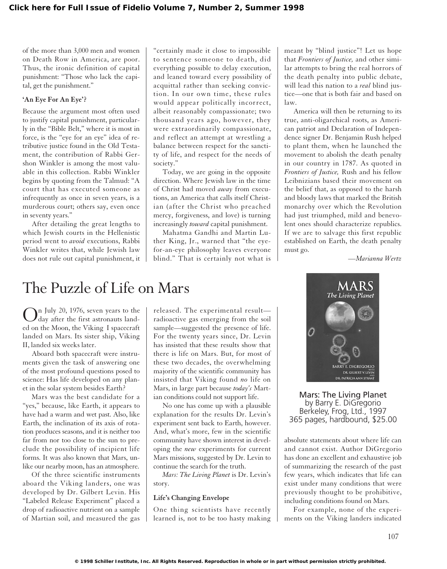of the more than 3,000 men and women on Death Row in America, are poor. Thus, the ironic definition of capital punishment: "Those who lack the capital, get the punishment."

## **'An Eye For An Eye'?**

Because the argument most often used to justify capital punishment, particularly in the "Bible Belt," where it is most in force, is the "eye for an eye" idea of retributive justice found in the Old Testament, the contribution of Rabbi Gershon Winkler is among the most valuable in this collection. Rabbi Winkler begins by quoting from the Talmud: "A court that has executed someone as infrequently as once in seven years, is a murderous court; others say, even once in seventy years."

After detailing the great lengths to which Jewish courts in the Hellenistic period went to *avoid* executions, Rabbi Winkler writes that, while Jewish law does not rule out capital punishment, it

"certainly made it close to impossible to sentence someone to death, did everything possible to delay execution, and leaned toward every possibility of acquittal rather than seeking conviction. In our own time, these rules would appear politically incorrect, albeit reasonably compassionate; two thousand years ago, however, they were extraordinarily compassionate, and reflect an attempt at wrestling a balance between respect for the sanctity of life, and respect for the needs of society."

Today, we are going in the opposite direction. Where Jewish law in the time of Christ had moved *away* from executions, an America that calls itself Christian (after the Christ who preached mercy, forgiveness, and love) is turning increasingly *toward* capital punishment.

Mahatma Gandhi and Martin Luther King, Jr., warned that "the eyefor-an-eye philosophy leaves everyone blind." That is certainly not what is meant by "blind justice"! Let us hope that *Frontiers of Justice,* and other similar attempts to bring the real horrors of the death penalty into public debate, will lead this nation to a *real* blind justice—one that is both fair and based on law.

America will then be returning to its true, anti-oligarchical roots, as American patriot and Declaration of Independence signer Dr. Benjamin Rush helped to plant them, when he launched the movement to abolish the death penalty in our country in 1787. As quoted in *Frontiers of Justice,* Rush and his fellow Leibnizians based their movement on the belief that, as opposed to the harsh and bloody laws that marked the British monarchy over which the Revolution had just triumphed, mild and benevolent ones should characterize republics. If we are to salvage this first republic established on Earth, the death penalty must go.

*—Marianna Wertz*

## The Puzzle of Life on Mars

 $\bigodot$  and July 20, 1976, seven years to the day after the first astronauts landed on the Moon, the Viking I spacecraft landed on Mars. Its sister ship, Viking II, landed six weeks later.

Aboard both spacecraft were instruments given the task of answering one of the most profound questions posed to science: Has life developed on any planet in the solar system besides Earth?

Mars was the best candidate for a "yes," because, like Earth, it appears to have had a warm and wet past. Also, like Earth, the inclination of its axis of rotation produces seasons, and it is neither too far from nor too close to the sun to preclude the possibility of incipient life forms. It was also known that Mars, unlike our nearby moon, has an atmosphere.

Of the three scientific instruments aboard the Viking landers, one was developed by Dr. Gilbert Levin. His "Labeled Release Experiment" placed a drop of radioactive nutrient on a sample of Martian soil, and measured the gas released. The experimental result radioactive gas emerging from the soil sample—suggested the presence of life. For the twenty years since, Dr. Levin has insisted that these results show that there is life on Mars. But, for most of these two decades, the overwhelming majority of the scientific community has insisted that Viking found *no* life on Mars, in large part because *today's* Martian conditions could not support life.

No one has come up with a plausible explanation for the results Dr. Levin's experiment sent back to Earth, however. And, what's more, few in the scientific community have shown interest in developing the *new* experiments for current Mars missions, suggested by Dr. Levin to continue the search for the truth.

*Mars: The Living Planet* is Dr. Levin's story.

## **Life's Changing Envelope**

One thing scientists have recently learned is, not to be too hasty making



Mars: The Living Planet by Barry E. DiGregorio Berkeley, Frog, Ltd., 1997 365 pages, hardbound, \$25.00

absolute statements about where life can and cannot exist. Author DiGregorio has done an excellent and exhaustive job of summarizing the research of the past few years, which indicates that life can exist under many conditions that were previously thought to be prohibitive, including conditions found on Mars.

For example, none of the experiments on the Viking landers indicated